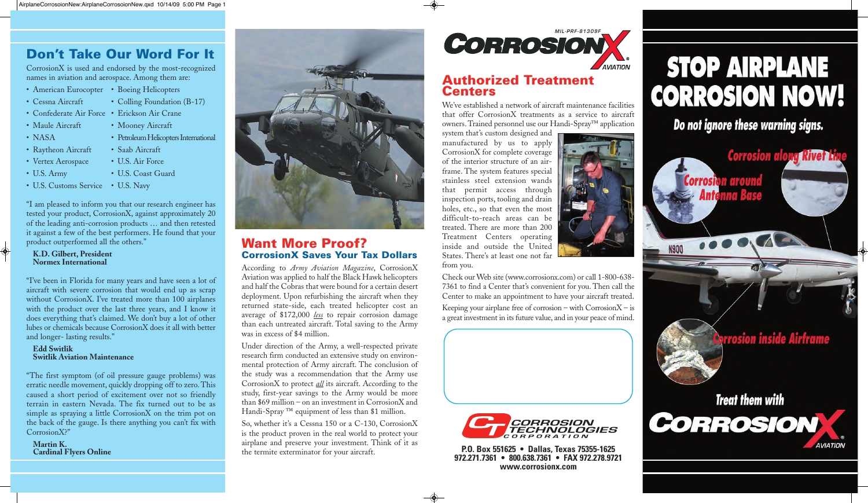

**P.O. Box 551625 • Dallas, Texas 75355-1625 972.271.7361 • 800.638.7361 • FAX 972.278.9721 www.corrosionx.com**



## **Don't Take Our Word For It**

CorrosionX is used and endorsed by the most-recognized names in aviation and aerospace. Among them are:

- American Eurocopter Boeing Helicopters
- Cessna Aircraft Colling Foundation (B-17)
- Confederate Air Force Erickson Air Crane
- Maule Aircraft Mooney Aircraft
- NASA Petroleum Helicopters International
- Raytheon Aircraft Saab Aircraft
- Vertex Aerospace U.S. Air Force
- U.S. Army U.S. Coast Guard
- U.S. Customs Service U.S. Navy

"I am pleased to inform you that our research engineer has tested your product, CorrosionX, against approximately 20 of the leading anti-corrosion products … and then retested it against a few of the best performers. He found that your product outperformed all the others."

#### **K.D. Gilbert, President Normex International**

"I've been in Florida for many years and have seen a lot of aircraft with severe corrosion that would end up as scrap without CorrosionX. I've treated more than 100 airplanes with the product over the last three years, and I know it does everything that's claimed. We don't buy a lot of other lubes or chemicals because CorrosionX does it all with better and longer- lasting results."

### **Edd Switlik Switlik Aviation Maintenance**

"The first symptom (of oil pressure gauge problems) was erratic needle movement, quickly dropping off to zero. This caused a short period of excitement over not so friendly terrain in eastern Nevada. The fix turned out to be as simple as spraying a little CorrosionX on the trim pot on the back of the gauge. Is there anything you can't fix with CorrosionX?"

**Martin K. Cardinal Flyers Online**



### **Want More Proof? CorrosionX Saves Your Tax Dollars**

Keeping your airplane free of corrosion – with  $CorrosionX - is$ a great investment in its future value, and in your peace of mind.



According to *Army Aviation Magazine*, CorrosionX Aviation was applied to half the Black Hawk helicopters and half the Cobras that were bound for a certain desert deployment. Upon refurbishing the aircraft when they returned state-side, each treated helicopter cost an average of \$172,000 *less* to repair corrosion damage than each untreated aircraft. Total saving to the Army was in excess of \$4 million.

Under direction of the Army, a well-respected private research firm conducted an extensive study on environmental protection of Army aircraft. The conclusion of the study was a recommendation that the Army use CorrosionX to protect *all* its aircraft. According to the study, first-year savings to the Army would be more than \$69 million – on an investment in CorrosionX and Handi-Spray ™ equipment of less than \$1 million.

So, whether it's a Cessna 150 or a C-130, CorrosionX is the product proven in the real world to protect your airplane and preserve your investment. Think of it as the termite exterminator for your aircraft.

### **Authorized Treatment Centers**

We've established a network of aircraft maintenance facilities that offer CorrosionX treatments as a service to aircraft owners. Trained personnel use our Handi-Spray™ application

system that's custom designed and manufactured by us to apply CorrosionX for complete coverage of the interior structure of an airframe. The system features special stainless steel extension wands that permit access through inspection ports, tooling and drain holes, etc., so that even the most difficult-to-reach areas can be treated. There are more than 200 Treatment Centers operating inside and outside the United States. There's at least one not far from you.



Check our Web site (www.corrosionx.com) or call 1-800-638- 7361 to find a Center that's convenient for you. Then call the Center to make an appointment to have your aircraft treated.